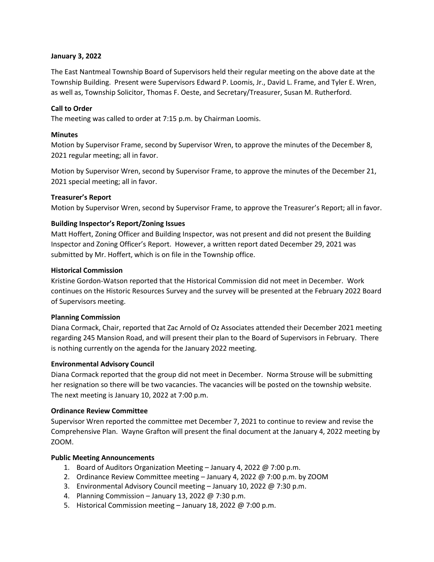## **January 3, 2022**

The East Nantmeal Township Board of Supervisors held their regular meeting on the above date at the Township Building. Present were Supervisors Edward P. Loomis, Jr., David L. Frame, and Tyler E. Wren, as well as, Township Solicitor, Thomas F. Oeste, and Secretary/Treasurer, Susan M. Rutherford.

## **Call to Order**

The meeting was called to order at 7:15 p.m. by Chairman Loomis.

## **Minutes**

Motion by Supervisor Frame, second by Supervisor Wren, to approve the minutes of the December 8, 2021 regular meeting; all in favor.

Motion by Supervisor Wren, second by Supervisor Frame, to approve the minutes of the December 21, 2021 special meeting; all in favor.

## **Treasurer's Report**

Motion by Supervisor Wren, second by Supervisor Frame, to approve the Treasurer's Report; all in favor.

## **Building Inspector's Report/Zoning Issues**

Matt Hoffert, Zoning Officer and Building Inspector, was not present and did not present the Building Inspector and Zoning Officer's Report. However, a written report dated December 29, 2021 was submitted by Mr. Hoffert, which is on file in the Township office.

## **Historical Commission**

Kristine Gordon-Watson reported that the Historical Commission did not meet in December. Work continues on the Historic Resources Survey and the survey will be presented at the February 2022 Board of Supervisors meeting.

#### **Planning Commission**

Diana Cormack, Chair, reported that Zac Arnold of Oz Associates attended their December 2021 meeting regarding 245 Mansion Road, and will present their plan to the Board of Supervisors in February. There is nothing currently on the agenda for the January 2022 meeting.

## **Environmental Advisory Council**

Diana Cormack reported that the group did not meet in December. Norma Strouse will be submitting her resignation so there will be two vacancies. The vacancies will be posted on the township website. The next meeting is January 10, 2022 at 7:00 p.m.

#### **Ordinance Review Committee**

Supervisor Wren reported the committee met December 7, 2021 to continue to review and revise the Comprehensive Plan. Wayne Grafton will present the final document at the January 4, 2022 meeting by ZOOM.

#### **Public Meeting Announcements**

- 1. Board of Auditors Organization Meeting January 4, 2022 @ 7:00 p.m.
- 2. Ordinance Review Committee meeting  $-$  January 4, 2022 @ 7:00 p.m. by ZOOM
- 3. Environmental Advisory Council meeting January 10, 2022 @ 7:30 p.m.
- 4. Planning Commission January 13, 2022 @ 7:30 p.m.
- 5. Historical Commission meeting January 18, 2022 @ 7:00 p.m.